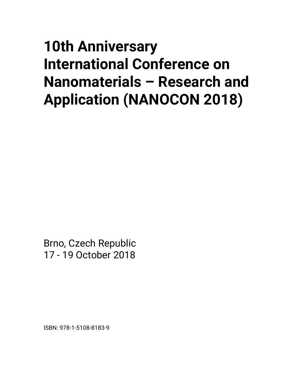## **10th Anniversary International Conference on Nanomaterials – Research and Application (NANOCON 2018)**

Brno, Czech Republic 17 - 19 October 2018

ISBN: 978-1-5108-8183-9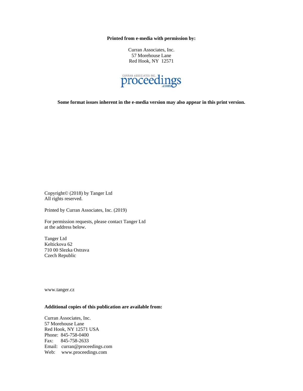**Printed from e-media with permission by:** 

Curran Associates, Inc. 57 Morehouse Lane Red Hook, NY 12571



**Some format issues inherent in the e-media version may also appear in this print version.** 

Copyright© (2018) by Tanger Ltd All rights reserved.

Printed by Curran Associates, Inc. (2019)

For permission requests, please contact Tanger Ltd at the address below.

Tanger Ltd Keltickova 62 710 00 Slezka Ostrava Czech Republic

www.tanger.cz

## **Additional copies of this publication are available from:**

Curran Associates, Inc. 57 Morehouse Lane Red Hook, NY 12571 USA Phone: 845-758-0400 Fax: 845-758-2633 Email: curran@proceedings.com Web: www.proceedings.com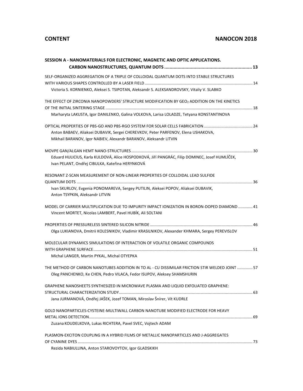| SESSION A - NANOMATERIALS FOR ELECTRONIC, MAGNETIC AND OPTIC APPLICATIONS.                      |
|-------------------------------------------------------------------------------------------------|
|                                                                                                 |
| SELF-ORGANIZED AGGREGATION OF A TRIPLE OF COLLOIDAL QUANTUM DOTS INTO STABLE STRUCTURES         |
|                                                                                                 |
| Victoria S. KORNIENKO, Aleksei S. TSIPOTAN, Aleksandr S. ALEKSANDROVSKY, Vitaliy V. SLABKO      |
| THE EFFECT OF ZIRCONIA NANOPOWDERS' STRUCTURE MODIFICATION BY GEO2 ADDITION ON THE KINETICS     |
|                                                                                                 |
| Marharyta LAKUSTA, Igor DANILENKO, Galina VOLKOVA, Larisa LOLADZE, Tetyana KONSTANTINOVA        |
|                                                                                                 |
| Anton BABAEV, Aliaksei DUBAVIK, Sergei CHEREVKOV, Peter PARFENOV, Elena USHAKOVA,               |
| Mikhail BARANOV, Igor NABIEV, Alexandr BARANOV, Aleksandr LITVIN                                |
|                                                                                                 |
| Eduard HULICIUS, Karla KULDOVÁ, Alice HOSPODKOVÁ, Jiří PANGRÁC, Filip DOMINEC, Josef HUMLÍČEK,  |
| Ivan PELANT, Ondřej CIBULKA, Kateřina HERYNKOVÁ                                                 |
| RESONANT Z-SCAN MEASUREMENT OF NON-LINEAR PROPERTIES OF COLLOIDAL LEAD SULFIDE                  |
|                                                                                                 |
| Ivan SKURLOV, Evgenia PONOMAREVA, Sergey PUTILIN, Aleksei POPOV, Aliaksei DUBAVIK,              |
| Anton TSYPKIN, Aleksandr LITVIN                                                                 |
| MODEL OF CARRIER MULTIPLICATION DUE TO IMPURITY IMPACT IONIZATION IN BORON-DOPED DIAMOND  41    |
| Vincent MORTET, Nicolas LAMBERT, Pavel HUBÍK, Ali SOLTANI                                       |
|                                                                                                 |
| Olga LUKIANOVA, Dmitrii KOLESNIKOV, Vladimir KRASILNIKOV, Alexander KHMARA, Sergey PEREVISLOV   |
| MOLECULAR DYNAMICS SIMULATIONS OF INTERACTION OF VOLATILE ORGANIC COMPOUNDS                     |
|                                                                                                 |
| Michal LANGER, Martin PYKAL, Michal OTYEPKA                                                     |
| THE METHOD OF CARBON NANOTUBES ADDITION IN TO AL - CU DISSIMILAR FRICTION STIR WELDED JOINT  57 |
| Oleg PANCHENKO, Ke CHEN, Pedro VILACA, Fedor ISUPOV, Aleksey SHAMSHURIN                         |
| GRAPHENE NANOSHEETS SYNTHESIZED IN MICROWAVE PLASMA AND LIQUID EXFOLIATED GRAPHENE:             |
|                                                                                                 |
| Jana JURMANOVÁ, Ondřej JAŠEK, Jozef TOMAN, Miroslav Šnírer, Vít KUDRLE                          |
| GOLD NANOPARTICLES-CYSTEINE-MULTIWALL CARBON NANOTUBE MODIFIED ELECTRODE FOR HEAVY              |
|                                                                                                 |
| Zuzana KOUDELKOVA, Lukas RICHTERA, Pavel SVEC, Vojtech ADAM                                     |
| PLASMON-EXCITON COUPLING IN A HYBRID FILMS OF METALLIC NANOPARTICLES AND J-AGGREGATES           |
|                                                                                                 |
| Rezida NABIULLINA, Anton STAROVOYTOV, Igor GLADSKIKH                                            |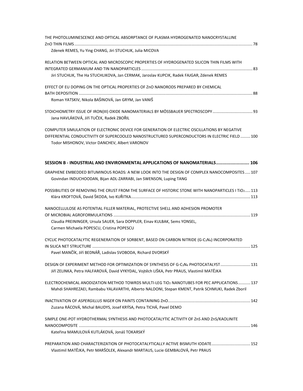| THE PHOTOLUMINESCENCE AND OPTICAL ABSORPTANCE OF PLASMA HYDROGENATED NANOCRYSTALLINE                 |  |
|------------------------------------------------------------------------------------------------------|--|
|                                                                                                      |  |
| Zdenek REMES, Yu Ying CHANG, Jiri STUCHLIK, Julia MICOVA                                             |  |
| RELATION BETWEEN OPTICAL AND MICROSCOPIC PROPERTIES OF HYDROGENATED SILICON THIN FILMS WITH          |  |
|                                                                                                      |  |
| Jiri STUCHLIK, The Ha STUCHLIKOVA, Jan CERMAK, Jaroslav KUPCIK, Radek FAJGAR, Zdenek REMES           |  |
| EFFECT OF EU DOPING ON THE OPTICAL PROPERTIES OF ZnO NANORODS PREPARED BY CHEMICAL                   |  |
|                                                                                                      |  |
| Roman YATSKIV, Nikola BAŠINOVÁ, Jan GRYM, Jan VANIŠ                                                  |  |
| STOICHIOMETRY ISSUE OF IRON(III) OXIDE NANOMATERIALS BY MÖSSBAUER SPECTROSCOPY  93                   |  |
| Jana HAVLÁKOVÁ, Jiří TUČEK, Radek ZBOŘIL                                                             |  |
| COMPUTER SIMULATION OF ELECTRONIC DEVICE FOR GENERATION OF ELECTRIC OSCILLATIONS BY NEGATIVE         |  |
| DIFFERENTIAL CONDUCTIVITY OF SUPERCOOLED NANOSTRUCTURED SUPERCONDUCTORS IN ELECTRIC FIELD  100       |  |
| Todor MISHONOV, Victor DANCHEV, Albert VARONOV                                                       |  |
|                                                                                                      |  |
| SESSION B - INDUSTRIAL AND ENVIRONMENTAL APPLICATIONS OF NANOMATERIALS 106                           |  |
| GRAPHENE EMBEDDED BITUMINOUS ROADS: A NEW LOOK INTO THE DESIGN OF COMPLEX NANOCOMPOSITES 107         |  |
| Govindan INDUCHOODAN, Bijan ADL-ZARRABI, Jan SWENSON, Luping TANG                                    |  |
| POSSIBILITIES OF REMOVING THE CRUST FROM THE SURFACE OF HISTORIC STONE WITH NANOPARTICLES I TiO2 113 |  |
|                                                                                                      |  |
| NANOCELLULOSE AS POTENTIAL FILLER MATERIAL, PROTECTIVE SHELL AND ADHESION PROMOTER                   |  |
|                                                                                                      |  |
| Claudia PREININGER, Ursula SAUER, Sara DOPPLER, Einav KULBAK, Sems YONSEL,                           |  |
| Carmen Michaela POPESCU, Cristina POPESCU                                                            |  |
| CYCLIC PHOTOCATALYTIC REGENERATION OF SORBENT, BASED ON CARBON NITRIDE (G-C3N4) INCORPORATED         |  |
|                                                                                                      |  |
| Pavel MANČÍK, Jiří BEDNÁŘ, Ladislav SVOBODA, Richard DVORSKÝ                                         |  |
| DESIGN OF EXPERIMENT METHOD FOR OPTIMIZATION OF SYNTHESIS OF G-C3N4 PHOTOCATALYST131                 |  |
| Jiří ZELINKA, Petra HALFAROVÁ, David VYKYDAL, Vojtěch LIŠKA, Petr PRAUS, Vlastimil MATĚJKA           |  |
| ELECTROCHEMICAL ANODIZATION METHOD TOWRDS MULTI-LEG TIO2 NANOTUBES FOR PEC APPLICATIONS 137          |  |
| Mahdi SHAHREZAEI, Rambabu YALAVARTHI, Alberto NALDONI, Stepan KMENT, Patrik SCHMUKI, Radek Zboril    |  |
|                                                                                                      |  |
| Zuzana RÁCOVÁ, Michal BAUDYS, Josef KRÝSA, Petra TICHÁ, Pavel DEMO                                   |  |
| SIMPLE ONE-POT HYDROTHERMAL SYNTHESIS AND PHOTOCATALYTIC ACTIVITY OF ZnS AND ZnS/KAOLINITE           |  |
|                                                                                                      |  |
| Kateřina MAMULOVÁ KUTLÁKOVÁ, Jonáš TOKARSKÝ                                                          |  |
| PREPARATION AND CHARACTERIZATION OF PHOTOCATALYTICALLY ACTIVE BISMUTH IODATE152                      |  |
| Vlastimil MATĚJKA, Petr MARŠOLEK, Alexandr MARTAUS, Lucie GEMBALOVÁ, Petr PRAUS                      |  |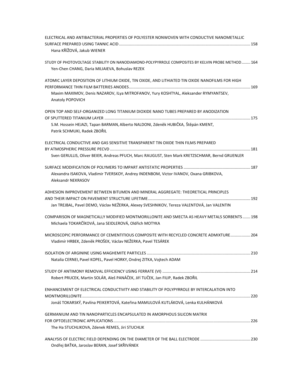| ELECTRICAL AND ANTIBACTERIAL PROPERTIES OF POLYESTER NONWOVEN WITH CONDUCTIVE NANOMETALLIC                                                             |  |
|--------------------------------------------------------------------------------------------------------------------------------------------------------|--|
| Hana KŘÍŽOVÁ, Jakub WIENER                                                                                                                             |  |
| STUDY OF PHOTOVOLTAGE STABILITY ON NANODIAMOND-POLYPYRROLE COMPOSITES BY KELVIN PROBE METHOD 164<br>Yen-Chen CHANG, Daria MILIAIEVA, Bohuslav REZEK    |  |
| ATOMIC LAYER DEPOSITION OF LITHIUM OXIDE, TIN OXIDE, AND LITHIATED TIN OXIDE NANOFILMS FOR HIGH                                                        |  |
| Maxim MAXIMOV, Denis NAZAROV, ILya MITROFANOV, Yury KOSHTYAL, Aleksander RYMYANTSEV,<br>Anatoly POPOVICH                                               |  |
| OPEN TOP AND SELF-ORGANIZED LONG TITANIUM DIOXIDE NANO TUBES PREPARED BY ANODIZATION                                                                   |  |
| S.M. Hossein HEJAZI, Tapan BARMAN, Alberto NALDONI, Zdeněk HUBIČKA, Štěpán KMENT,<br>Patrik SCHMUKI, Radek ZBOŘIL                                      |  |
| ELECTRICAL CONDUCTIVE AND GAS SENSITIVE TRANSPARENT TIN OXIDE THIN FILMS PREPARED                                                                      |  |
| Sven GERULLIS, Oliver BEIER, Andreas PFUCH, Marc RAUGUST, Sten Mark KRETZSCHMAR, Bernd GRUENLER                                                        |  |
| Alexandra ISAKOVA, Vladimir TVERSKOY, Andrey INDENBOM, Victor IVANOV, Oxana GRIBKOVA,<br>Aleksandr NEKRASOV                                            |  |
| ADHESION IMPROVEMENT BETWEEN BITUMEN AND MINERAL AGGREGATE: THEORETICAL PRINCIPLES                                                                     |  |
| Jan TREJBAL, Pavel DEMO, Václav NEŽERKA, Alexey SVESHNIKOV, Tereza VALENTOVÁ, Jan VALENTIN                                                             |  |
| COMPARISON OF MAGNETICALLY MODIFIED MONTMORILLONITE AND SMECTA AS HEAVY METALS SORBENTS  198<br>Michaela TOKARČÍKOVÁ, Jana SEIDLEROVÁ, Oldřich MOTYKA  |  |
| MICROSCOPIC PERFORMANCE OF CEMENTITIOUS COMPOSITE WITH RECYCLED CONCRETE ADMIXTURE 204<br>Vladimír HRBEK, Zdeněk PROŠEK, Václav NEŽERKA, Pavel TESÁREK |  |
| Natalia CERNEI, Pavel KOPEL, Pavel HORKY, Ondrej ZITKA, Vojtech ADAM                                                                                   |  |
| Robert PRUCEK, Martin SOLÁR, Aleš PANÁČEK, Jiří TUČEK, Jan FILIP, Radek ZBOŘIL                                                                         |  |
| ENHANCEMENT OF ELECTRICAL CONDUCTIVITY AND STABILITY OF POLYPYRROLE BY INTERCALATION INTO                                                              |  |
| Jonáš TOKARSKÝ, Pavlína PEIKERTOVÁ, Kateřina MAMULOVÁ KUTLÁKOVÁ, Lenka KULHÁNKOVÁ                                                                      |  |
| GERMANIUM AND TIN NANOPARTICLES ENCAPSULATED IN AMORPHOUS SILICON MATRIX                                                                               |  |
| The Ha STUCHLIKOVA, Zdenek REMES, Jiri STUCHLIK                                                                                                        |  |
| Ondřej BAŤKA, Jaroslav BERAN, Josef SKŘIVÁNEK                                                                                                          |  |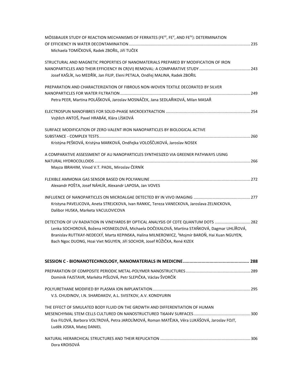| MÖSSBAUER STUDY OF REACTION MECHANISMS OF FERRATES (FEVI, FEV, AND FEIV): DETERMINATION<br>Michaela TOMÍČKOVÁ, Radek ZBOŘIL, Jiří TUČEK                                                                                                                                                                                                                                        |  |
|--------------------------------------------------------------------------------------------------------------------------------------------------------------------------------------------------------------------------------------------------------------------------------------------------------------------------------------------------------------------------------|--|
| STRUCTURAL AND MAGNETIC PROPERTIES OF NANOMATERIALS PREPARED BY MODIFICATION OF IRON<br>Josef KAŠLÍK, Ivo MEDŘÍK, Jan FILIP, Eleni PETALA, Ondřej MALINA, Radek ZBOŘIL                                                                                                                                                                                                         |  |
| PREPARATION AND CHARACTERIZATION OF FIBROUS NON-WOVEN TEXTILE DECORATED BY SILVER<br>Petra PEER, Martina POLÁŠKOVÁ, Jaroslav MOSNÁČEK, Jana SEDLAŘIKOVÁ, Milan MASAŘ                                                                                                                                                                                                           |  |
| Vojtěch ANTOŠ, Pavel HRABÁK, Klára LÍSKOVÁ                                                                                                                                                                                                                                                                                                                                     |  |
| SURFACE MODIFICATION OF ZERO-VALENT IRON NANOPARTICLES BY BIOLOGICAL ACTIVE<br>Kristýna PEŠKOVÁ, Kristýna MARKOVÁ, Ondřejka VOLOŠČUKOVÁ, Jaroslav NOSEK                                                                                                                                                                                                                        |  |
| A COMPARATIVE ASSESSMENT OF AU NANOPARTICLES SYNTHESIZED VIA GREENER PATHWAYS USING<br>Mayza IBRAHIM, Vinod V.T. PADIL, Miroslav ČERNÍK                                                                                                                                                                                                                                        |  |
| Alexandr POŠTA, Josef NÁHLÍK, Alexandr LAPOSA, Jan VOVES                                                                                                                                                                                                                                                                                                                       |  |
| Kristyna PAVELICOVA, Aneta STREJCKOVA, Ivan RANKIC, Tereza VANECKOVA, Jaroslava ZELNICKOVA,<br>Dalibor HUSKA, Marketa VACULOVICOVA                                                                                                                                                                                                                                             |  |
| DETECTION OF UV RADIATION IN VINEYARDS BY OPTICAL ANALYSIS OF CDTE QUANTUM DOTS  282<br>Lenka SOCHOROVÁ, Božena HOSNEDLOVÁ, Michaela DOČEKALOVÁ, Martina STAŇKOVÁ, Dagmar UHLÍŘOVÁ,<br>Branislav RUTTKAY-NEDECKÝ, Marta KEPINSKA, Halina MILNEROWICZ, <sup>1</sup> Mojmír BAROŇ, Hai Xuan NGUYEN,<br>Bach Ngoc DUONG, Hoai Viet NGUYEN, Jiří SOCHOR, Josef RŮŽIČKA, René KIZEK |  |
|                                                                                                                                                                                                                                                                                                                                                                                |  |
| Dominik FAJSTAVR, Markéta PIŠLOVÁ, Petr SLEPIČKA, Václav ŠVORČÍK                                                                                                                                                                                                                                                                                                               |  |
| V.S. CHUDINOV, I.N. SHARDAKOV, A.L. SVISTKOV, A.V. KONDYURIN                                                                                                                                                                                                                                                                                                                   |  |
| THE EFFECT OF SIMULATED BODY FLUID ON THE GROWTH AND DIFFERENTIATION OF HUMAN<br>Eva FILOVÁ, Barbora VOLTROVÁ, Petra JAROLÍMOVÁ, Roman MATĚJKA, Věra LUKÁŠOVÁ, Jaroslav FOJT,<br>Luděk JOSKA, Matej DANIEL                                                                                                                                                                     |  |
| Dora KROISOVÁ                                                                                                                                                                                                                                                                                                                                                                  |  |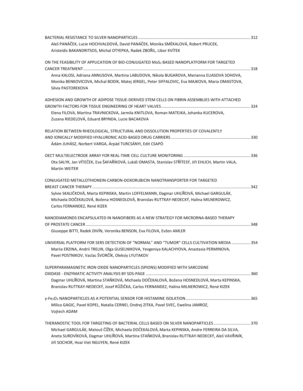| Aleš PANÁČEK, Lucie HOCHVALDOVÁ, David PANÁČEK, Monika SMÉKALOVÁ, Robert PRUCEK,                                                                                                                                                                                                                                                    |  |
|-------------------------------------------------------------------------------------------------------------------------------------------------------------------------------------------------------------------------------------------------------------------------------------------------------------------------------------|--|
| Aristeidis BAKANDRITSOS, Michal OTYEPKA, Radek ZBOŘIL, Libor KVÍTEK                                                                                                                                                                                                                                                                 |  |
| ON THE FEASIBILITY OF APPLICATION OF BIO-CONJUGATED MoS2 BASED NANOPLATFORM FOR TARGETED                                                                                                                                                                                                                                            |  |
| Anna KALOSI, Adriana ANNUSOVA, Martina LABUDOVA, Nikola BUGAROVA, Marianna ELIASOVA SOHOVA,<br>Monika BENKOVICOVA, Michal BODIK, Matej JERGEL, Peter SIFFALOVIC, Eva MAJKOVA, Maria OMASTOVA,<br>Silvia PASTOREKOVA                                                                                                                 |  |
| ADHESION AND GROWTH OF ADIPOSE TISSUE-DERIVED STEM CELLS ON FIBRIN ASSEMBLIES WITH ATTACHED                                                                                                                                                                                                                                         |  |
| Elena FILOVA, Martina TRAVNICKOVA, Jarmila KNITLOVA, Roman MATEJKA, Johanka KUCEROVA,<br>Zuzana RIEDELOVÁ, Eduard BRYNDA, Lucie BACAKOVA                                                                                                                                                                                            |  |
| RELATION BETWEEN RHEOLOGICAL, STRUCTURAL AND DISSOLUTION PROPERTIES OF COVALENTLY                                                                                                                                                                                                                                                   |  |
| Ádám JUHÁSZ, Norbert VARGA, Árpád TURCSÁNYI, Edit CSAPÓ                                                                                                                                                                                                                                                                             |  |
| Ota SALYK, Jan VÍTEČEK, Eva ŠAFAŘÍKOVÁ, Lukáš OMASTA, Stanislav STŘÍTESÝ, Jiří EHLICH, Martin VALA,<br>Martin WEITER                                                                                                                                                                                                                |  |
| CONJUGATED METALLOTHIONEIN-CARBON-DOXORUBICIN NANOTRANSPORTER FOR TARGETED<br>Sylvie SKALIČKOVÁ, Marta KEPINSKA, Martin LOFFELMANN, Dagmar UHLÍŘOVÁ, Michael GARGULÁK,<br>Michaela DOČEKALOVÁ, Božena HOSNEDLOVÁ, Branislav RUTTKAY-NEDECKÝ, Halina MILNEROWICZ,<br>Carlos FERNANDEZ, René KIZEK                                    |  |
| NANODIAMONDS ENCAPSULATED IN NANOFIBERS AS A NEW STRATEGY FOR MICRORNA-BASED THERAPY                                                                                                                                                                                                                                                |  |
| Giuseppe BITTI, Radek DIVÍN, Veronika BENSON, Eva FILOVA, Evžen AMLER                                                                                                                                                                                                                                                               |  |
| UNIVERSAL PLATFORM FOR SERS DETECTION OF "NORMAL" AND "TUMOR" CELLS CULTIVATION MEDIA  354<br>Mariia ERZINA, Andrii TRELIN, Olga GUSELNIKOVA, Yevgeniya KALACHYOVA, Anastasia PERMINOVA,<br>Pavel POSTNIKOV, Vaclac ŠVORČÍK, Oleksiy LYUTAKOV                                                                                       |  |
| SUPERPARAMAGNETIC IRON OXIDE NANOPARTICLES (SPIONS) MODIFIED WITH SARCOSINE<br>Dagmar UHLÍŘOVÁ, Martina STAŇKOVÁ, Michaela DOČEKALOVÁ, Božena HOSNEDLOVÁ, Marta KEPINSKA,<br>Branislav RUTTKAY-NEDECKÝ, Josef RŮŽIČKA, Carlos FERNANDEZ, Halina MILNEROWICZ, René KIZEK                                                             |  |
| Milica GAGIC, Pavel KOPEL, Natalia CERNEI, Ondrej ZITKA, Pavel SVEC, Ewelina JAMROZ,<br>Vojtech ADAM                                                                                                                                                                                                                                |  |
| THERANOSTIC TOOL FOR TARGETING OF BACTERIAL CELLS BASED ON SILVER NANOPARTICLES 370<br>Michael GARGULÁK, Matouš ČÍŽEK, Michaela DOČEKALOVÁ, Marta KEPINSKA, Andre FERREIRA DA SILVA,<br>Aneta SUROVÍKOVÁ, Dagmar UHLÍŘOVÁ, Martina STAŇKOVÁ, Branislav RUTTKAY-NEDECKÝ, Aleš VAVŘINÍK,<br>Jiří SOCHOR, Hoai Viet NGUYEN, René KIZEK |  |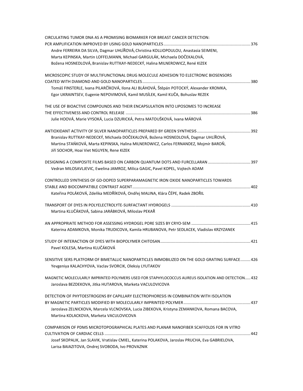| CIRCULATING TUMOR DNA AS A PROMISING BIOMARKER FOR BREAST CANCER DETECTION:                        |  |
|----------------------------------------------------------------------------------------------------|--|
| Andre FERREIRA DA SILVA, Dagmar UHLÍŘOVÁ, Christina KOLLIOPOULOU, Anastasia SEIMENI,               |  |
| Marta KEPINSKA, Martin LOFFELMANN, Michael GARGULÁK, Michaela DOČEKALOVÁ,                          |  |
| Božena HOSNEDLOVÁ, Branislav RUTTKAY-NEDECKÝ, Halina MILNEROWICZ, René KIZEK                       |  |
|                                                                                                    |  |
| MICROSCOPIC STUDY OF MULTIFUNCTIONAL DRUG MOLECULE ADHESION TO ELECTRONIC BIOSENSORS               |  |
|                                                                                                    |  |
| Tomáš FINSTERLE, Ivana PILARČÍKOVÁ, Ilona ALI BLÁHOVÁ, Štěpán POTOCKÝ, Alexander KROMKA,           |  |
| Egor UKRAINTSEV, Eugenie NEPOVIMOVÁ, Kamil MUSÍLEK, Kamil KUČA, Bohuslav REZEK                     |  |
| THE USE OF BIOACTIVE COMPOUNDS AND THEIR ENCAPSULATION INTO LIPOSOMES TO INCREASE                  |  |
|                                                                                                    |  |
| Julie HOOVÁ, Marie VYSOKÁ, Lucia DZURICKÁ, Petra MATOUŠKOVÁ, Ivana MÁROVÁ                          |  |
|                                                                                                    |  |
| Branislav RUTTKAY-NEDECKÝ, Michaela DOČEKALOVÁ, Božena HOSNEDLOVÁ, Dagmar UHLÍŘOVÁ,                |  |
| Martina STAŃKOVÁ, Marta KEPINSKA, Halina MILNEROWICZ, Carlos FERNANDEZ, Mojmír BAROŇ,              |  |
| Jiří SOCHOR, Hoai Viet NGUYEN, Rene KIZEK                                                          |  |
|                                                                                                    |  |
| Vedran MILOSAVLJEVIC, Ewelina JAMROZ, Milica GAGIC, Pavel KOPEL, Vojtech ADAM                      |  |
|                                                                                                    |  |
| CONTROLLED SYNTHESIS OF GD-DOPED SUPERPARAMAGNETIC IRON OXIDE NANOPARTICLES TOWARDS                |  |
|                                                                                                    |  |
| Kateřina POLÁKOVÁ, Zdeňka MEDŘÍKOVÁ, Ondřej MALINA, Klára ČÉPE, Radek ZBOŘIL                       |  |
|                                                                                                    |  |
| Martina KLUČÁKOVÁ, Sabina JARÁBKOVÁ, Miloslav PEKAŘ                                                |  |
|                                                                                                    |  |
|                                                                                                    |  |
| Katerina ADAMKOVA, Monika TRUDICOVA, Kamila HRUBANOVA, Petr SEDLACEK, Vladislav KRZYZANEK          |  |
|                                                                                                    |  |
| Pavel KOLESA, Martina KLUČÁKOVÁ                                                                    |  |
|                                                                                                    |  |
| SENSITIVE SERS PLATFORM OF BIMETALLIC NANOPARTICLES IMMOBILIZED ON THE GOLD GRATING SURFACE 426    |  |
| Yevgeniya KALACHYOVA, Vaclav SVORCIK, Oleksiy LYUTAKOV                                             |  |
| MAGNETIC MOLECULARLY IMPRINTED POLYMERS USED FOR STAPHYLOCOCCUS AUREUS ISOLATION AND DETECTION 432 |  |
| Jaroslava BEZDEKOVA, Jitka HUTAROVA, Marketa VACULOVICOVA                                          |  |
|                                                                                                    |  |
| DETECTION OF PHYTOESTROGENS BY CAPILLARY ELECTROPHORESIS IN COMBINATION WITH ISOLATION             |  |
|                                                                                                    |  |
| Jaroslava ZELNICKOVA, Marcela VLCNOVSKA, Lucia ZIBEKOVA, Kristyna ZEMANKOVA, Romana BACOVA,        |  |
| Martina KOLACKOVA, Marketa VACULOVICOVA                                                            |  |
| COMPARISON OF PDMS MICROTOPOGRAPHICAL PLATES AND PLANAR NANOFIBER SCAFFOLDS FOR IN VITRO           |  |
|                                                                                                    |  |
| Josef SKOPALIK, Jan SLAVIK, Vratislav CMIEL, Katerina POLAKOVA, Jaroslav PRUCHA, Eva GABRIELOVA,   |  |
| Larisa BAIAZITOVA, Ondrej SVOBODA, Ivo PROVAZNIK                                                   |  |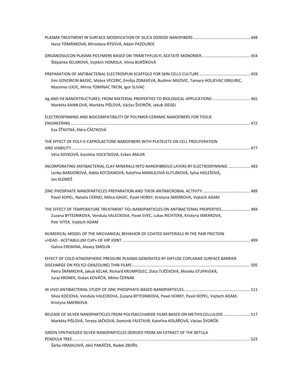| Hana TOMÁNKOVÁ, Miroslava RYSOVÁ, Adam PAZOUREK                                                                                                                                                                            |  |
|----------------------------------------------------------------------------------------------------------------------------------------------------------------------------------------------------------------------------|--|
| Štěpánka KELAROVÁ, Vojtěch HOMOLA, Vilma BURŠÍKOVÁ                                                                                                                                                                         |  |
| Emi GOVORCIN BAJSIC, Matea VECERIC, Emilija ZDRAVEVA, Budimir MIJOVIC, Tamara HOLJEVAC GRGURIC,<br>Massimo UJCIC, Mirna TOMINAC TRCIN, Igor SLIVAC                                                                         |  |
| Ag AND Pd NANOSTRUCTURES: FROM MATERIAL PROPERTIES TO BIOLOGICAL APPLICATIONS 465<br>Markéta KAIMLOVÁ, Markéta PIŠLOVÁ, Václav ŠVORČÍK, Jakub SIEGEL                                                                       |  |
| ELECTROSPINNING AND BIOCOMPATIBILITY OF POLYMER-CERAMIC NANOFIBERS FOR TISSUE<br>Eva ŠŤASTNÁ, Klára ČÁSTKOVÁ                                                                                                               |  |
| THE EFFECT OF POLY-E-CAPROLACTONE NANOFIBERS WITH PLATELETS ON CELL PROLIFERATION<br>Věra SOVKOVÁ, Karolína VOCETKOVÁ, Evžen AMLER                                                                                         |  |
| INCORPORATING ANTIBACTERIAL CLAY MINERALS INTO NANOFIBROUS LAYERS BY ELECTROSPINNING  483<br>Lenka BARDOŇOVÁ, Adéla KOTZIANOVÁ, Kateřina MAMULOVÁ KUTLÁKOVÁ, Sylva HOLEŠOVÁ,<br>Jan KLEMEŠ                                 |  |
| Pavel KOPEL, Natalia CERNEI, Milica GAGIC, Pavel HORKY, Kristyna SMERKOVA, Vojtech ADAM                                                                                                                                    |  |
| THE EFFECT OF TEMPERATURE TREATMENT TIO2 NANOPARTICLES ON ANTIBACTERIAL PROPERTIES 494<br>Zuzana BYTESNIKOVA, Vendula VALECKOVA, Pavel SVEC, Lukas RICHTERA, Kristyna SMERKOVA,<br>Petr VITEK, Vojtech ADAM                |  |
| NUMERICAL MODEL OF THE MECHANICAL BEHAVIOR OF COATED MATERIALS IN THE PAIR FRICTION<br>Galina EREMINA, Alexey SMOLIN                                                                                                       |  |
| EFFECT OF COLD ATMOSPHERIC PRESSURE PLASMA GENERATED BY DIFFUSE COPLANAR SURFACE BARRIER<br>Petra ŠRÁMKOVÁ, Jakub KELAR, Richard KRUMPOLEC, Zlata TUČEKOVÁ, Monika STUPAVSKÁ,<br>Juraj KRONEK, Dušan KOVÁČIK, Mirko ČERNÁK |  |
| Silvia KOCIOVA, Vendula VALECKOVA, Zuzana BYTESNIKOVA, Pavel HORKY, Pavel KOPEL, Vojtech ADAM,<br>Kristyna SMERKOVA                                                                                                        |  |
| RELEASE OF SILVER NANOPARTICLES FROM POLYSACCHARIDE FILMS BASED ON METHYLCELLULOSE 517<br>Markéta PIŠLOVÁ, Tereza JAČKOVÁ, Dominik FAJSTAVR, Kateřina KOLÁŘOVÁ, Václav ŠVORČÍK                                             |  |
| GREEN SYNTHESIZED SILVER NANOPARTICLES DERIVED FROM AN EXTRACT OF THE BETULA                                                                                                                                               |  |
| Šárka HRADILOVÁ, Aleš PANÁČEK, Radek ZBOŘIL                                                                                                                                                                                |  |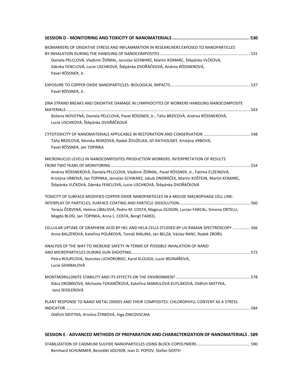| BIOMARKERS OF OXIDATIVE STRESS AND INFLAMMATION IN RESEARCHERS EXPOSED TO NANOPARTICLES                                                                                              |  |
|--------------------------------------------------------------------------------------------------------------------------------------------------------------------------------------|--|
| Daniela PELCLOVÁ, Vladimír ŽDÍMAL, Jaroslav SCHWARZ, Martin KOMARC, Štěpánka VLČKOVÁ,                                                                                                |  |
| Zdenka FENCLOVÁ, Lucie LISCHKOVÁ, Štěpánka DVOŘÁČKOVÁ, Andrea RÖSSNEROVÁ,<br>Pavel RÖSSNER, Jr.                                                                                      |  |
| Pavel RÖSSNER, Jr.                                                                                                                                                                   |  |
| DNA STRAND BREAKS AND OXIDATIVE DAMAGE IN LYMPHOCYTES OF WORKERS HANDLING NANOCOMPOSITE                                                                                              |  |
| Božena NOVOTNÁ, Daniela PELCLOVÁ, Pavel RÖSSNER, Jr., Táňa BRZICOVÁ, Andrea RÖSSNEROVÁ,<br>Lucie LISCHKOVÁ, Štěpánka DVOŘÁČKOVÁ                                                      |  |
|                                                                                                                                                                                      |  |
| Táňa BRZICOVÁ, Monika REMZOVÁ, Radek ŽOUŽELKA, Jiří RATHOUSKÝ, Kristýna VRBOVÁ,<br>Pavel RŐSSNER, Jan TOPINKA                                                                        |  |
| MICRONUCLEI LEVELS IN NANOCOMPOSITES PRODUCTION WORKERS: INTERPRETATION OF RESULTS                                                                                                   |  |
| Andrea RÖSSNEROVÁ, Daniela PELCLOVÁ, Vladimír ŽDÍMAL, Pavel RÖSSNER, Jr., Fatima ELZEINOVÁ,                                                                                          |  |
| Kristýna VRBOVÁ, Jan TOPINKA, Jaroslav SCHWARZ, Jakub ONDRÁČEK, Martin KOŠTEJN, Martin KOMARC,<br>Štěpánka VLČKOVÁ, Zdenka FENCLOVÁ, Lucie LISCHKOVÁ, Štěpánka DVOŘÁČKOVÁ            |  |
| TOXICITY OF SURFACE-MODIFIED COPPER OXIDE NANOPARTICLES IN A MOUSE MACROPHAGE CELL LINE:                                                                                             |  |
| Tereza ČERVENÁ, Helena LÍBALOVÁ, Pedro M. COSTA, Magnus OLSSON, Lucian FARCAL, Simona ORTELLI,<br>Magda BLOSI, Jan TOPINKA, Anna L. COSTA, Bengt FADEEL                              |  |
| CELLULAR UPTAKE OF GRAPHENE ACID BY HEL AND HELA CELLS STUDIED BY UV RAMAN SPECTROSCOPY 566<br>Anna BALZEROVÁ, Kateřina POLÁKOVÁ, Tomáš MALINA, Jan BELZA, Václav RANC, Radek ZBOŘIL |  |
| ANALYSIS OF THE WAY TO INCREASE SAFETY IN TERMS OF POSSIBLE INHALATION OF NANO                                                                                                       |  |
| Petra ROUPCOVA, Stanislav LICHOROBIEC, Karel KLOUDA, Lucie BEDNÁŘOVÁ,<br>Lucie GEMBALOVÁ                                                                                             |  |
| Klára DROBÍKOVÁ, Michaela TOKARČÍKOVÁ, Kateřina MAMULOVÁ KUTLÁKOVÁ, Oldřích MOTYKA,<br>Jana SEIDLEROVÁ                                                                               |  |
| PLANT RESPONSE TO NANO METAL OXIDES AND THEIR COMPOSITES: CHLOROPHYLL CONTENT AS A STRESS                                                                                            |  |
| Oldřich MOTYKA, Kristína ŠTRBOVÁ, Inga ZINCOVSCAIA                                                                                                                                   |  |
| SESSION E - ADVANCED METHODS OF PREPARATION AND CHARACTERIZATION OF NANOMATERIALS. 589                                                                                               |  |
| Bernhard SCHUMMER, Benedikt SOCHOR, Ivan D. POPOV, Stefan GERTH                                                                                                                      |  |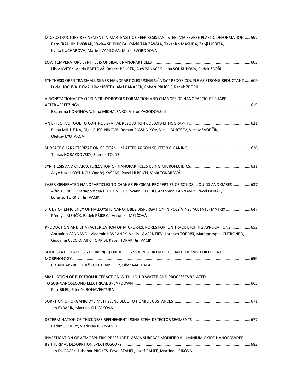| MICROSTRUCTURE REFINEMENT IN MARTENSITIC CREEP RESISTANT STEEL VIA SEVERE PLASTIC DEFORMATION  597                                              |
|-------------------------------------------------------------------------------------------------------------------------------------------------|
| Petr KRAL, Jiri DVORAK, Vaclav SKLENICKA, Yoichi TAKIZAWAA, Takahiro MASUDA, Zenji HORITA,<br>Kveta KUCHAROVA, Marie KVAPILOVA, Marie SVOBODOVA |
|                                                                                                                                                 |
|                                                                                                                                                 |
| Libor KVÍTEK, Adéla BÁRTOVÁ, Robert PRUCEK, Aleš PANÁČEK, Jana SOUKUPOVÁ, Radek ZBOŘIL                                                          |
| SYNTHESIS OF ULTRA SMALL SILVER NANOPARTICLES USING Sn <sup>2+</sup> /Sn <sup>4+</sup> REDOX COUPLE AS STRONG REDUCTANT  609                    |
| Lucie HOCHVALDOVÁ, Libor KVÍTEK, Aleš PANÁČEK, Robert PRUCEK, Radek ZBOŘIL                                                                      |
| A NONSTATIONARITY OF SILVER HYDROSOLS FORMATION AND CHANGES OF NANOPARTICLES SHAPE                                                              |
|                                                                                                                                                 |
| Ekaterina KONONOVA, Irina MIKHALENKO, Viktor YAGODOVSKII                                                                                        |
|                                                                                                                                                 |
| Elena MILIUTINA, Olga GUSELNIKOVA, Roman ELASHNIKOV, Vasilii BURTSEV, Vaclav ŠVORČÍK,                                                           |
| Oleksiy LYUTAKOV                                                                                                                                |
|                                                                                                                                                 |
| Tomas HORAZDOVSKY, Zdenek TOLDE                                                                                                                 |
|                                                                                                                                                 |
| Aliye Hazal KOYUNCU, Ondřej KAŠPAR, Pavel ULBRICH, Viola TOKÁROVÁ                                                                               |
| LASER-GENERATED NANOPARTICLES TO CHANGE PHYSICAL PROPERTIES OF SOLIDS, LIQUIDS AND GASES  637                                                   |
| Alfio TORRISI, Mariapompea CUTRONEO, Giovanni CECCIO, Antonino CANNAVO', Pavel HORÁK,                                                           |
| Lorenzo TORRISI, Jiří VACIK                                                                                                                     |
| STUDY OF EFFICIENCY OF HALLOYSITE NANOTUBES DISPERGATION IN POLY(VINYL ACETATE) MATRIX  647                                                     |
| Přemysl MENČÍK, Radek PŘIKRYL, Veronika MELČOVÁ                                                                                                 |
| PRODUCTION AND CHARACTERIZATION OF MICRO-SIZE PORES FOR ION TRACK ETCHING APPLICATIONS  652                                                     |
| Antonino CANNAVO', Vladimir HAVRANEK, Vasily LAVRENTIEV, Lorenzo TORRISI, Mariapompea CUTRONEO,                                                 |
| Giovanni CECCIO, Alfio TORRISI, Pavel HORAK, Jiri VACIK                                                                                         |
| SOLID STATE SYNTHESIS OF IRON(III) OXIDE POLYMORPHS FROM PRUSSIAN BLUE WITH DIFFERENT                                                           |
|                                                                                                                                                 |
| Claudia APARICIO, Jiří TUČEK, Jan FILIP, Libor MACHALA                                                                                          |
| SIMULATION OF ELECTRON INTERACTION WITH LIQUID WATER AND PROCESSES RELATED                                                                      |
|                                                                                                                                                 |
| Petr BÍLEK, Zdeněk BONAVENTURA                                                                                                                  |
|                                                                                                                                                 |
| Jan RYBÁRIK, Martina KLUČAKOVÁ                                                                                                                  |
|                                                                                                                                                 |
| Radim SKOUPÝ, Vladislav KRZYŽÁNEK                                                                                                               |
| INVESTIGATION OF ATMOSPHERIC PRESSURE PLASMA SURFACE MODIFIED ALUMINIUM OXIDE NANOPOWDER                                                        |
|                                                                                                                                                 |
| Ján DUGÁČEK, Lubomír PROKEŠ, Pavel SŤAHEL, Jozef RÁHEĽ, Martina ILČÍKOVÁ                                                                        |